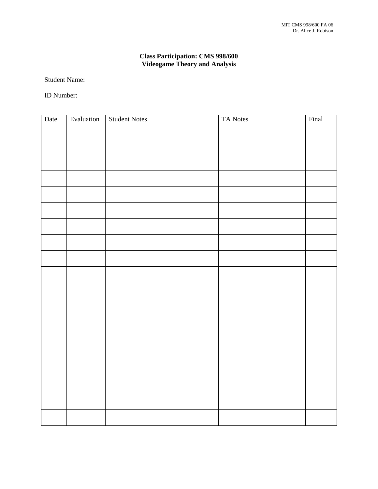## **Class Participation: CMS 998/600 Videogame Theory and Analysis**

Student Name:

ID Number:

| Date | Evaluation | <b>Student Notes</b> | TA Notes | Final |
|------|------------|----------------------|----------|-------|
|      |            |                      |          |       |
|      |            |                      |          |       |
|      |            |                      |          |       |
|      |            |                      |          |       |
|      |            |                      |          |       |
|      |            |                      |          |       |
|      |            |                      |          |       |
|      |            |                      |          |       |
|      |            |                      |          |       |
|      |            |                      |          |       |
|      |            |                      |          |       |
|      |            |                      |          |       |
|      |            |                      |          |       |
|      |            |                      |          |       |
|      |            |                      |          |       |
|      |            |                      |          |       |
|      |            |                      |          |       |
|      |            |                      |          |       |
|      |            |                      |          |       |
|      |            |                      |          |       |